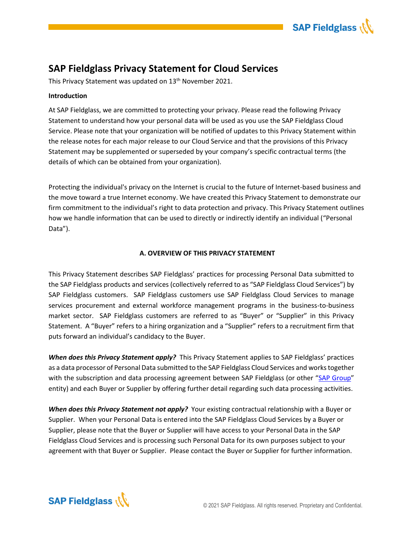

# **SAP Fieldglass Privacy Statement for Cloud Services**

This Privacy Statement was updated on 13<sup>th</sup> November 2021.

# **Introduction**

At SAP Fieldglass, we are committed to protecting your privacy. Please read the following Privacy Statement to understand how your personal data will be used as you use the SAP Fieldglass Cloud Service. Please note that your organization will be notified of updates to this Privacy Statement within the release notes for each major release to our Cloud Service and that the provisions of this Privacy Statement may be supplemented or superseded by your company's specific contractual terms (the details of which can be obtained from your organization).

Protecting the individual's privacy on the Internet is crucial to the future of Internet-based business and the move toward a true Internet economy. We have created this Privacy Statement to demonstrate our firm commitment to the individual's right to data protection and privacy. This Privacy Statement outlines how we handle information that can be used to directly or indirectly identify an individual ("Personal Data").

# **A. OVERVIEW OF THIS PRIVACY STATEMENT**

This Privacy Statement describes SAP Fieldglass' practices for processing Personal Data submitted to the SAP Fieldglass products and services (collectively referred to as "SAP Fieldglass Cloud Services") by SAP Fieldglass customers. SAP Fieldglass customers use SAP Fieldglass Cloud Services to manage services procurement and external workforce management programs in the business-to-business market sector. SAP Fieldglass customers are referred to as "Buyer" or "Supplier" in this Privacy Statement. A "Buyer" refers to a hiring organization and a "Supplier" refers to a recruitment firm that puts forward an individual's candidacy to the Buyer.

*When does this Privacy Statement apply?*This Privacy Statement applies to SAP Fieldglass' practices as a data processor of Personal Data submitted to the SAP Fieldglass Cloud Services and works together with the subscription and data processing agreement between SAP Fieldglass (or other "[SAP Group](https://www.sap.com/dam/site/corporate/legal/sap-legal-entities.pdf)" entity) and each Buyer or Supplier by offering further detail regarding such data processing activities.

**When does this Privacy Statement not apply?** Your existing contractual relationship with a Buyer or Supplier. When your Personal Data is entered into the SAP Fieldglass Cloud Services by a Buyer or Supplier, please note that the Buyer or Supplier will have access to your Personal Data in the SAP Fieldglass Cloud Services and is processing such Personal Data for its own purposes subject to your agreement with that Buyer or Supplier. Please contact the Buyer or Supplier for further information.

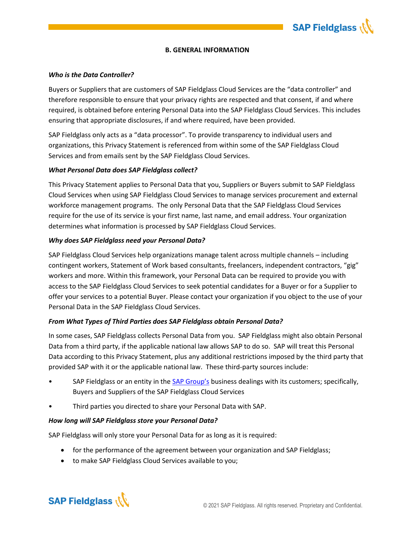

#### **B. GENERAL INFORMATION**

### *Who is the Data Controller?*

Buyers or Suppliers that are customers of SAP Fieldglass Cloud Services are the "data controller" and therefore responsible to ensure that your privacy rights are respected and that consent, if and where required, is obtained before entering Personal Data into the SAP Fieldglass Cloud Services. This includes ensuring that appropriate disclosures, if and where required, have been provided.

SAP Fieldglass only acts as a "data processor". To provide transparency to individual users and organizations, this Privacy Statement is referenced from within some of the SAP Fieldglass Cloud Services and from emails sent by the SAP Fieldglass Cloud Services.

### *What Personal Data does SAP Fieldglass collect?*

This Privacy Statement applies to Personal Data that you, Suppliers or Buyers submit to SAP Fieldglass Cloud Services when using SAP Fieldglass Cloud Services to manage services procurement and external workforce management programs. The only Personal Data that the SAP Fieldglass Cloud Services require for the use of its service is your first name, last name, and email address. Your organization determines what information is processed by SAP Fieldglass Cloud Services.

#### *Why does SAP Fieldglass need your Personal Data?*

SAP Fieldglass Cloud Services help organizations manage talent across multiple channels – including contingent workers, Statement of Work based consultants, freelancers, independent contractors, "gig" workers and more. Within this framework, your Personal Data can be required to provide you with access to the SAP Fieldglass Cloud Services to seek potential candidates for a Buyer or for a Supplier to offer your services to a potential Buyer. Please contact your organization if you object to the use of your Personal Data in the SAP Fieldglass Cloud Services.

### *From What Types of Third Parties does SAP Fieldglass obtain Personal Data?*

In some cases, SAP Fieldglass collects Personal Data from you. SAP Fieldglass might also obtain Personal Data from a third party, if the applicable national law allows SAP to do so. SAP will treat this Personal Data according to this Privacy Statement, plus any additional restrictions imposed by the third party that provided SAP with it or the applicable national law. These third-party sources include:

- SAP Fieldglass or an entity in the [SAP Group's](https://www.sap.com/dam/site/corporate/legal/sap-legal-entities.pdf) business dealings with its customers; specifically, Buyers and Suppliers of the SAP Fieldglass Cloud Services
- Third parties you directed to share your Personal Data with SAP.

### *How long will SAP Fieldglass store your Personal Data?*

SAP Fieldglass will only store your Personal Data for as long as it is required:

- for the performance of the agreement between your organization and SAP Fieldglass;
- to make SAP Fieldglass Cloud Services available to you;

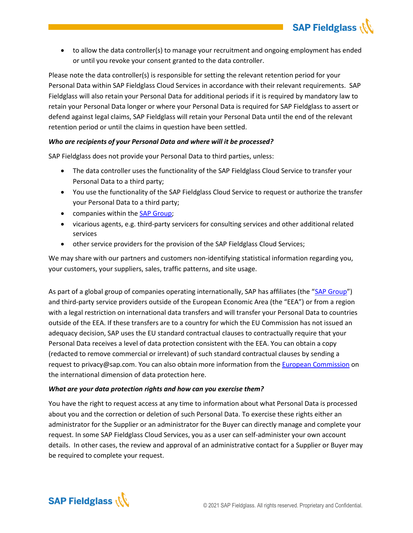

**SAP Fieldglass (\\** 

Please note the data controller(s) is responsible for setting the relevant retention period for your Personal Data within SAP Fieldglass Cloud Services in accordance with their relevant requirements. SAP Fieldglass will also retain your Personal Data for additional periods if it is required by mandatory law to retain your Personal Data longer or where your Personal Data is required for SAP Fieldglass to assert or defend against legal claims, SAP Fieldglass will retain your Personal Data until the end of the relevant retention period or until the claims in question have been settled.

# *Who are recipients of your Personal Data and where will it be processed?*

SAP Fieldglass does not provide your Personal Data to third parties, unless:

- The data controller uses the functionality of the SAP Fieldglass Cloud Service to transfer your Personal Data to a third party;
- You use the functionality of the SAP Fieldglass Cloud Service to request or authorize the transfer your Personal Data to a third party;
- companies within the [SAP Group;](https://www.sap.com/dam/site/corporate/legal/sap-legal-entities.pdf)
- vicarious agents, e.g. third-party servicers for consulting services and other additional related services
- other service providers for the provision of the SAP Fieldglass Cloud Services;

We may share with our partners and customers non-identifying statistical information regarding you, your customers, your suppliers, sales, traffic patterns, and site usage.

As part of a global group of companies operating internationally, SAP has affiliates (the "[SAP Group](https://www.sap.com/dam/site/corporate/legal/sap-legal-entities.pdf)") and third-party service providers outside of the European Economic Area (the "EEA") or from a region with a legal restriction on international data transfers and will transfer your Personal Data to countries outside of the EEA. If these transfers are to a country for which the EU Commission has not issued an adequacy decision, SAP uses the EU standard contractual clauses to contractually require that your Personal Data receives a level of data protection consistent with the EEA. You can obtain a copy (redacted to remove commercial or irrelevant) of such standard contractual clauses by sending a request to privacy@sap.com. You can also obtain more information from the [European Commission](https://ec.europa.eu/info/law/law-topic/data-protection/international-dimension-data-protection/standard-contractual-clauses-scc_fr) on the international dimension of data protection here.

# *What are your data protection rights and how can you exercise them?*

You have the right to request access at any time to information about what Personal Data is processed about you and the correction or deletion of such Personal Data. To exercise these rights either an administrator for the Supplier or an administrator for the Buyer can directly manage and complete your request. In some SAP Fieldglass Cloud Services, you as a user can self-administer your own account details. In other cases, the review and approval of an administrative contact for a Supplier or Buyer may be required to complete your request.

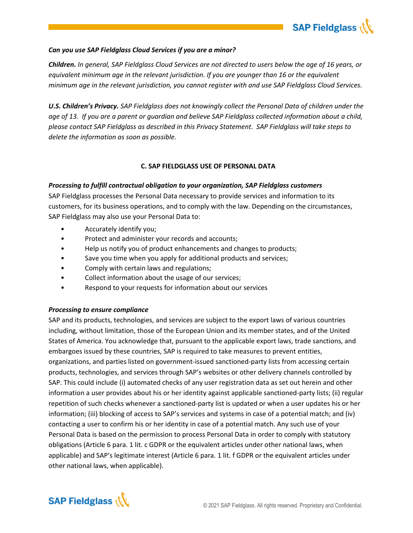

# *Can you use SAP Fieldglass Cloud Services if you are a minor?*

*Children. In general, SAP Fieldglass Cloud Services are not directed to users below the age of 16 years, or equivalent minimum age in the relevant jurisdiction. If you are younger than 16 or the equivalent minimum age in the relevant jurisdiction, you cannot register with and use SAP Fieldglass Cloud Services.*

*U.S. Children's Privacy. SAP Fieldglass does not knowingly collect the Personal Data of children under the age of 13. If you are a parent or guardian and believe SAP Fieldglass collected information about a child, please contact SAP Fieldglass as described in this Privacy Statement. SAP Fieldglass will take steps to delete the information as soon as possible.* 

## **C. SAP FIELDGLASS USE OF PERSONAL DATA**

## *Processing to fulfill contractual obligation to your organization, SAP Fieldglass customers*

SAP Fieldglass processes the Personal Data necessary to provide services and information to its customers, for its business operations, and to comply with the law. Depending on the circumstances, SAP Fieldglass may also use your Personal Data to:

- Accurately identify you;
- Protect and administer your records and accounts;
- Help us notify you of product enhancements and changes to products;
- Save you time when you apply for additional products and services;
- Comply with certain laws and regulations;
- Collect information about the usage of our services;
- Respond to your requests for information about our services

### *Processing to ensure compliance*

SAP and its products, technologies, and services are subject to the export laws of various countries including, without limitation, those of the European Union and its member states, and of the United States of America. You acknowledge that, pursuant to the applicable export laws, trade sanctions, and embargoes issued by these countries, SAP is required to take measures to prevent entities, organizations, and parties listed on government-issued sanctioned-party lists from accessing certain products, technologies, and services through SAP's websites or other delivery channels controlled by SAP. This could include (i) automated checks of any user registration data as set out herein and other information a user provides about his or her identity against applicable sanctioned-party lists; (ii) regular repetition of such checks whenever a sanctioned-party list is updated or when a user updates his or her information; (iii) blocking of access to SAP's services and systems in case of a potential match; and (iv) contacting a user to confirm his or her identity in case of a potential match. Any such use of your Personal Data is based on the permission to process Personal Data in order to comply with statutory obligations (Article 6 para. 1 lit. c GDPR or the equivalent articles under other national laws, when applicable) and SAP's legitimate interest (Article 6 para. 1 lit. f GDPR or the equivalent articles under other national laws, when applicable).

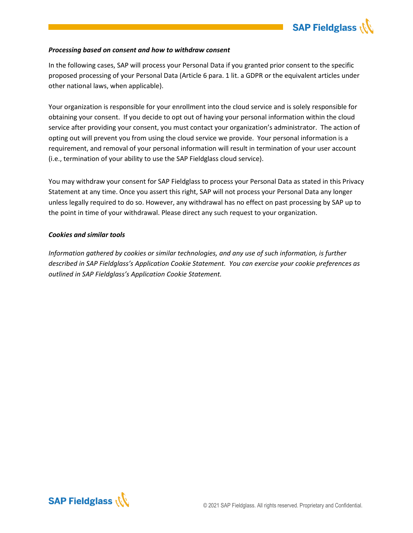

## *Processing based on consent and how to withdraw consent*

In the following cases, SAP will process your Personal Data if you granted prior consent to the specific proposed processing of your Personal Data (Article 6 para. 1 lit. a GDPR or the equivalent articles under other national laws, when applicable).

Your organization is responsible for your enrollment into the cloud service and is solely responsible for obtaining your consent. If you decide to opt out of having your personal information within the cloud service after providing your consent, you must contact your organization's administrator. The action of opting out will prevent you from using the cloud service we provide. Your personal information is a requirement, and removal of your personal information will result in termination of your user account (i.e., termination of your ability to use the SAP Fieldglass cloud service).

You may withdraw your consent for SAP Fieldglass to process your Personal Data as stated in this Privacy Statement at any time. Once you assert this right, SAP will not process your Personal Data any longer unless legally required to do so. However, any withdrawal has no effect on past processing by SAP up to the point in time of your withdrawal. Please direct any such request to your organization.

## *Cookies and similar tools*

*Information gathered by cookies or similar technologies, and any use of such information, is further described in SAP Fieldglass's Application Cookie Statement. You can exercise your cookie preferences as outlined in SAP Fieldglass's Application Cookie Statement.*